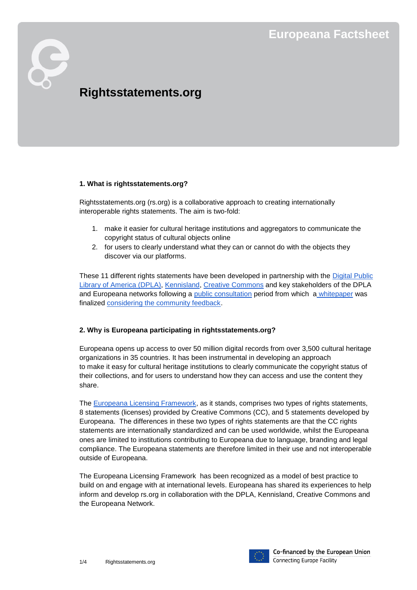# **Rightsstatements.org**

#### **1. What is rightsstatements.org?**

Rightsstatements.org (rs.org) is a collaborative approach to creating internationally interoperable rights statements. The aim is two-fold:

- 1. make it easier for cultural heritage institutions and aggregators to communicate the copyright status of cultural objects online
- 2. for users to clearly understand what they can or cannot do with the objects they discover via our platforms.

These 11 different rights statements have been developed in partnership with the [Digital Public](http://dp.la/)  [Library of America \(DPLA\),](http://dp.la/) [Kennisland,](https://www.kl.nl/) [Creative Commons](https://creativecommons.org/) and key stakeholders of the [DPLA](http://dp.la/)  and Europeana networks following a [public consultation](http://pro.europeana.eu/blogpost/the-principles-for-establishing-international-interoperable-righ) period from which a [whitepaper](http://rightsstatements.org/files/160208recommendations_for_standardized_international_rights_statements_v1.1.pdf) was finalized [considering the community feedback.](http://pro.europeana.eu/blogpost/final-whitepapers-for-establishing-international-interoperable-rights-statements-released)

# **2. Why is Europeana participating in rightsstatements.org?**

Europeana opens up access to over 50 million digital records from over 3,500 cultural heritage organizations in 35 countries. It has been instrumental in developing an approach to make it easy for cultural heritage institutions to clearly communicate the copyright status of their collections, and for users to understand how they can access and use the content they share.

The [Europeana Licensing Framework,](http://pro.europeana.eu/files/Europeana_Professional/Publications/Europeana%20Licensing%20Framework.pdf) as it stands, comprises two types of rights statements, 8 statements (licenses) provided by Creative Commons (CC), and 5 statements developed by Europeana. The differences in these two types of rights statements are that the CC rights statements are internationally standardized and can be used worldwide, whilst the Europeana ones are limited to institutions contributing to Europeana due to language, branding and legal compliance. The Europeana statements are therefore limited in their use and not interoperable outside of Europeana.

The Europeana Licensing Framework has been recognized as a model of best practice to build on and engage with at international levels. Europeana has shared its experiences to help inform and develop rs.org in collaboration with the DPLA, Kennisland, Creative Commons and the Europeana Network.

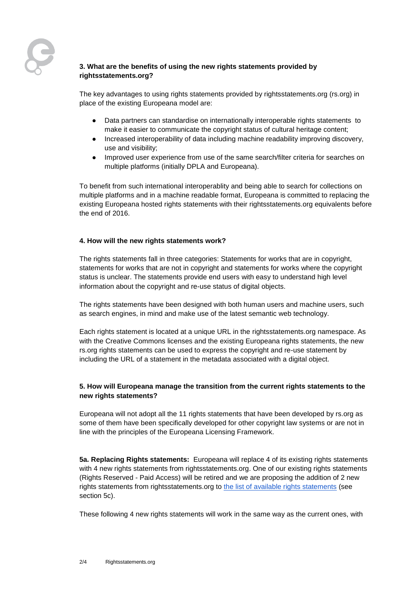# **3. What are the benefits of using the new rights statements provided by rightsstatements.org?**

The key advantages to using rights statements provided by rightsstatements.org (rs.org) in place of the existing Europeana model are:

- Data partners can standardise on internationally interoperable rights statements to make it easier to communicate the copyright status of cultural heritage content;
- Increased interoperability of data including machine readability improving discovery, use and visibility;
- Improved user experience from use of the same search/filter criteria for searches on multiple platforms (initially DPLA and Europeana).

To benefit from such international interoperablity and being able to search for collections on multiple platforms and in a machine readable format, Europeana is committed to replacing the existing Europeana hosted rights statements with their rightsstatements.org equivalents before the end of 2016.

## **4. How will the new rights statements work?**

The rights statements fall in three categories: Statements for works that are in copyright, statements for works that are not in copyright and statements for works where the copyright status is unclear. The statements provide end users with easy to understand high level information about the copyright and re-use status of digital objects.

The rights statements have been designed with both human users and machine users, such as search engines, in mind and make use of the latest semantic web technology.

Each rights statement is located at a unique URL in the rightsstatements.org namespace. As with the Creative Commons licenses and the existing Europeana rights statements, the new rs.org rights statements can be used to express the copyright and re-use statement by including the URL of a statement in the metadata associated with a digital object.

# **5. How will Europeana manage the transition from the current rights statements to the new rights statements?**

Europeana will not adopt all the 11 rights statements that have been developed by rs.org as some of them have been specifically developed for other copyright law systems or are not in line with the principles of the Europeana Licensing Framework.

**5a. Replacing Rights statements:** Europeana will replace 4 of its existing rights statements with 4 new rights statements from rightsstatements.org. One of our existing rights statements (Rights Reserved - Paid Access) will be retired and we are proposing the addition of 2 new rights statements from rightsstatements.org to [the list of available rights statements](http://pro.europeana.eu/page/available-rights-statements) (see section 5c).

These following 4 new rights statements will work in the same way as the current ones, with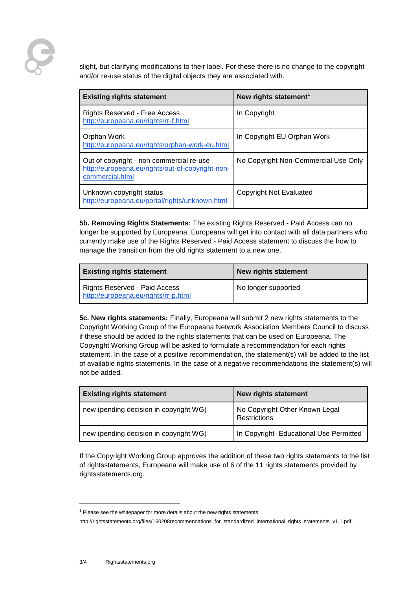slight, but clarifying modifications to their label. For these there is no change to the copyright and/or re-use status of the digital objects they are associated with.

| <b>Existing rights statement</b>                                                                                | New rights statement <sup>1</sup>    |
|-----------------------------------------------------------------------------------------------------------------|--------------------------------------|
| <b>Rights Reserved - Free Access</b><br>http://europeana.eu/rights/rr-f.html                                    | In Copyright                         |
| Orphan Work<br>http://europeana.eu/rights/orphan-work-eu.html                                                   | In Copyright EU Orphan Work          |
| Out of copyright - non commercial re-use<br>http://europeana.eu/rights/out-of-copyright-non-<br>commercial.html | No Copyright Non-Commercial Use Only |
| Unknown copyright status<br>http://europeana.eu/portal/rights/unknown.html                                      | Copyright Not Evaluated              |

**5b. Removing Rights Statements:** The existing Rights Reserved - Paid Access can no longer be supported by Europeana. Europeana will get into contact with all data partners who currently make use of the Rights Reserved - Paid Access statement to discuss the how to manage the transition from the old rights statement to a new one.

| <b>Existing rights statement</b>                                      | New rights statement |
|-----------------------------------------------------------------------|----------------------|
| Rights Reserved - Paid Access<br>http://europeana.eu/rights/rr-p.html | No longer supported  |

**5c. New rights statements:** Finally, Europeana will submit 2 new rights statements to the Copyright Working Group of the Europeana Network Association Members Council to discuss if these should be added to the rights statements that can be used on Europeana. The Copyright Working Group will be asked to formulate a recommendation for each rights statement. In the case of a positive recommendation, the statement(s) will be added to the list of available rights statements. In the case of a negative recommendations the statement(s) will not be added.

| <b>Existing rights statement</b>       | <b>New rights statement</b>                    |
|----------------------------------------|------------------------------------------------|
| new (pending decision in copyright WG) | No Copyright Other Known Legal<br>Restrictions |
| new (pending decision in copyright WG) | In Copyright- Educational Use Permitted        |

If the Copyright Working Group approves the addition of these two rights statements to the list of rightsstatements, Europeana will make use of 6 of the 11 rights statements provided by rightsstatements.org.

l

 $1$  Please see the whitepaper for more details about the new rights statements:

[http://rightsstatements.org/files/160208recommendations\\_for\\_standardized\\_international\\_rights\\_statements\\_v1.1.pdf.](http://rightsstatements.org/files/160208recommendations_for_standardized_international_rights_statements_v1.1.pdf)